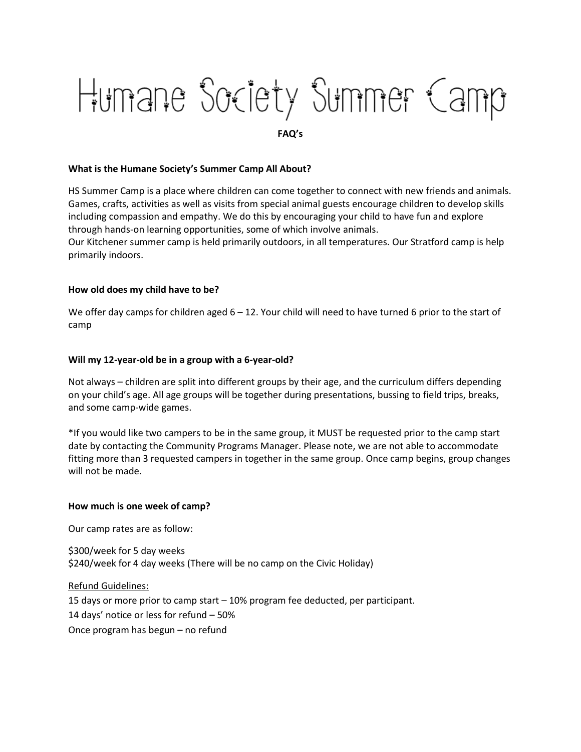# Humane Society Summer Camp

**FAQ's**

## **What is the Humane Society's Summer Camp All About?**

HS Summer Camp is a place where children can come together to connect with new friends and animals. Games, crafts, activities as well as visits from special animal guests encourage children to develop skills including compassion and empathy. We do this by encouraging your child to have fun and explore through hands-on learning opportunities, some of which involve animals.

Our Kitchener summer camp is held primarily outdoors, in all temperatures. Our Stratford camp is help primarily indoors.

### **How old does my child have to be?**

We offer day camps for children aged  $6 - 12$ . Your child will need to have turned 6 prior to the start of camp

### **Will my 12-year-old be in a group with a 6-year-old?**

Not always – children are split into different groups by their age, and the curriculum differs depending on your child's age. All age groups will be together during presentations, bussing to field trips, breaks, and some camp-wide games.

\*If you would like two campers to be in the same group, it MUST be requested prior to the camp start date by contacting the Community Programs Manager. Please note, we are not able to accommodate fitting more than 3 requested campers in together in the same group. Once camp begins, group changes will not be made.

#### **How much is one week of camp?**

Our camp rates are as follow:

\$300/week for 5 day weeks \$240/week for 4 day weeks (There will be no camp on the Civic Holiday)

Refund Guidelines: 15 days or more prior to camp start – 10% program fee deducted, per participant. 14 days' notice or less for refund – 50% Once program has begun – no refund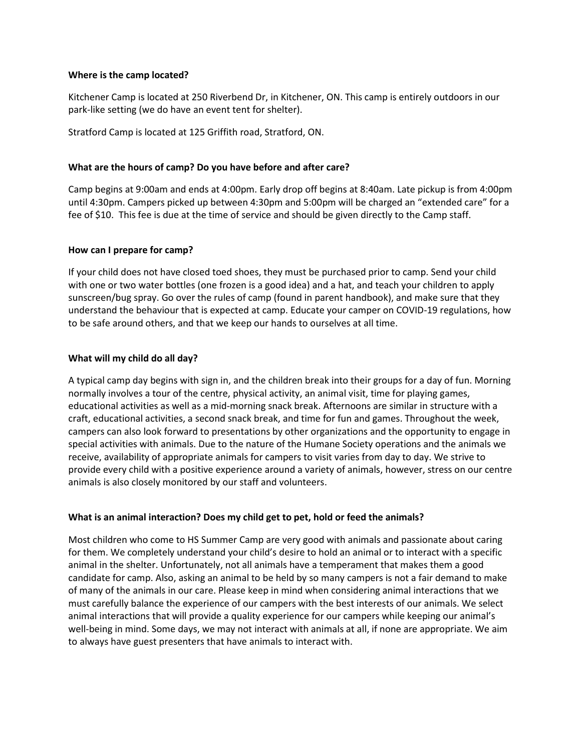## **Where is the camp located?**

Kitchener Camp is located at 250 Riverbend Dr, in Kitchener, ON. This camp is entirely outdoors in our park-like setting (we do have an event tent for shelter).

Stratford Camp is located at 125 Griffith road, Stratford, ON.

# **What are the hours of camp? Do you have before and after care?**

Camp begins at 9:00am and ends at 4:00pm. Early drop off begins at 8:40am. Late pickup is from 4:00pm until 4:30pm. Campers picked up between 4:30pm and 5:00pm will be charged an "extended care" for a fee of \$10. This fee is due at the time of service and should be given directly to the Camp staff.

# **How can I prepare for camp?**

If your child does not have closed toed shoes, they must be purchased prior to camp. Send your child with one or two water bottles (one frozen is a good idea) and a hat, and teach your children to apply sunscreen/bug spray. Go over the rules of camp (found in parent handbook), and make sure that they understand the behaviour that is expected at camp. Educate your camper on COVID-19 regulations, how to be safe around others, and that we keep our hands to ourselves at all time.

# **What will my child do all day?**

A typical camp day begins with sign in, and the children break into their groups for a day of fun. Morning normally involves a tour of the centre, physical activity, an animal visit, time for playing games, educational activities as well as a mid-morning snack break. Afternoons are similar in structure with a craft, educational activities, a second snack break, and time for fun and games. Throughout the week, campers can also look forward to presentations by other organizations and the opportunity to engage in special activities with animals. Due to the nature of the Humane Society operations and the animals we receive, availability of appropriate animals for campers to visit varies from day to day. We strive to provide every child with a positive experience around a variety of animals, however, stress on our centre animals is also closely monitored by our staff and volunteers.

# **What is an animal interaction? Does my child get to pet, hold or feed the animals?**

Most children who come to HS Summer Camp are very good with animals and passionate about caring for them. We completely understand your child's desire to hold an animal or to interact with a specific animal in the shelter. Unfortunately, not all animals have a temperament that makes them a good candidate for camp. Also, asking an animal to be held by so many campers is not a fair demand to make of many of the animals in our care. Please keep in mind when considering animal interactions that we must carefully balance the experience of our campers with the best interests of our animals. We select animal interactions that will provide a quality experience for our campers while keeping our animal's well-being in mind. Some days, we may not interact with animals at all, if none are appropriate. We aim to always have guest presenters that have animals to interact with.